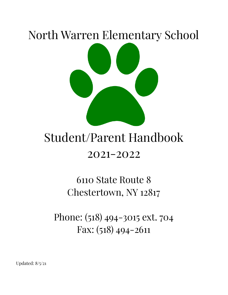# North Warren Elementary School

# Student/Parent Handbook 2021-2022

# 6110 State Route 8 Chestertown, NY 12817

Phone: (518) 494-3015 ext. 704 Fax: (518) 494-2611

Updated: 8/5/21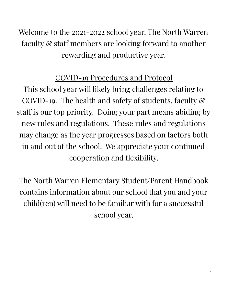Welcome to the 2021-2022 school year. The North Warren faculty & staff members are looking forward to another rewarding and productive year.

### COVID-19 Procedures and Protocol

This school year will likely bring challenges relating to COVID-19. The health and safety of students, faculty & staff is our top priority. Doing your part means abiding by new rules and regulations. These rules and regulations may change as the year progresses based on factors both in and out of the school. We appreciate your continued cooperation and flexibility.

The North Warren Elementary Student/Parent Handbook contains information about our school that you and your child(ren) will need to be familiar with for a successful school year.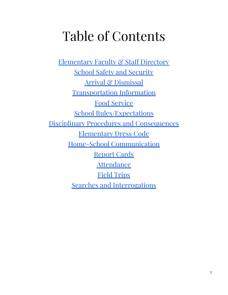# Table of Contents

[Elementary](#page-3-0) Faculty & Staff Directory School Safety and [Security](#page-5-0) Arrival & [Dismissal](#page-6-0) [Transportation](#page-7-0) Information Food [Service](#page-9-0) School [Rules/Expectations](#page-11-0) Disciplinary Procedures and [Consequences](#page-13-0) [Elementary](#page-14-0) Dress Code Home-School [Communication](#page-17-0) [Report](#page-18-0) Cards **[Attendance](#page-19-0)** Field [Trips](#page-20-0) Searches and [Interrogations](#page-14-0)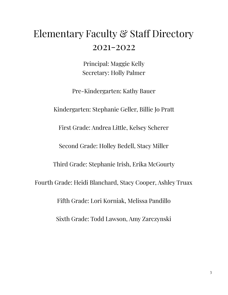# <span id="page-3-0"></span>Elementary Faculty & Staff Directory 2021-2022

Principal: Maggie Kelly Secretary: Holly Palmer

Pre-Kindergarten: Kathy Bauer

Kindergarten: Stephanie Geller, Billie Jo Pratt

First Grade: Andrea Little, Kelsey Scherer

Second Grade: Holley Bedell, Stacy Miller

Third Grade: Stephanie Irish, Erika McGourty

Fourth Grade: Heidi Blanchard, Stacy Cooper, Ashley Truax

Fifth Grade: Lori Korniak, Melissa Pandillo

Sixth Grade: Todd Lawson, Amy Zarczynski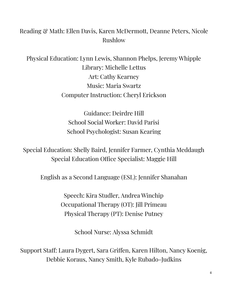### Reading & Math: Ellen Davis, Karen McDermott, Deanne Peters, Nicole Rushlow

Physical Education: Lynn Lewis, Shannon Phelps, Jeremy Whipple Library: Michelle Lettus Art: Cathy Kearney Music: Maria Swartz Computer Instruction: Cheryl Erickson

> Guidance: Deirdre Hill School Social Worker: David Parisi School Psychologist: Susan Kearing

Special Education: Shelly Baird, Jennifer Farmer, Cynthia Meddaugh Special Education Office Specialist: Maggie Hill

English as a Second Language (ESL): Jennifer Shanahan

Speech: Kira Studler, Andrea Winchip Occupational Therapy (OT): Jill Primeau Physical Therapy (PT): Denise Putney

School Nurse: Alyssa Schmidt

Support Staff: Laura Dygert, Sara Griffen, Karen Hilton, Nancy Koenig, Debbie Koraus, Nancy Smith, Kyle Rubado-Judkins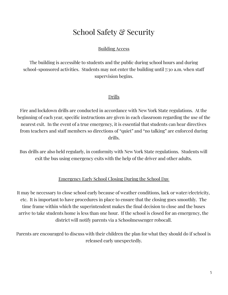### School Safety & Security

### Building Access

<span id="page-5-0"></span>The building is accessible to students and the public during school hours and during school-sponsored activities. Students may not enter the building until 7:30 a.m. when staff supervision begins.

### Drills

Fire and lockdown drills are conducted in accordance with New York State regulations. At the beginning of each year, specific instructions are given in each classroom regarding the use of the nearest exit. In the event of a true emergency, it is essential that students can hear directives from teachers and staff members so directions of "quiet" and "no talking" are enforced during drills.

Bus drills are also held regularly, in conformity with New York State regulations. Students will exit the bus using emergency exits with the help of the driver and other adults.

### Emergency Early School Closing During the School Day

It may be necessary to close school early because of weather conditions, lack or water/electricity, etc. It is important to have procedures in place to ensure that the closing goes smoothly. The time frame within which the superintendent makes the final decision to close and the buses arrive to take students home is less than one hour. If the school is closed for an emergency, the district will notify parents via a Schoolmessenger robocall.

Parents are encouraged to discuss with their children the plan for what they should do if school is released early unexpectedly.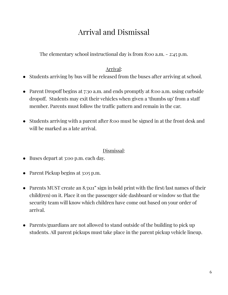# Arrival and Dismissal

<span id="page-6-0"></span>The elementary school instructional day is from 8:00 a.m. - 2:45 p.m.

### Arrival:

- Students arriving by bus will be released from the buses after arriving at school.
- Parent Dropoff begins at 7:30 a.m. and ends promptly at 8:00 a.m. using curbside dropoff. Students may exit their vehicles when given a 'thumbs up' from a staff member. Parents must follow the traffic pattern and remain in the car.
- Students arriving with a parent after 8:00 must be signed in at the front desk and will be marked as a late arrival.

### Dismissal:

- Buses depart at 3:00 p.m. each day.
- Parent Pickup begins at 3:05 p.m.
- Parents MUST create an 8.5x11" sign in bold print with the first/last names of their child(ren) on it. Place it on the passenger side dashboard or window so that the security team will know which children have come out based on your order of arrival.
- Parents/guardians are not allowed to stand outside of the building to pick up students. All parent pickups must take place in the parent pickup vehicle lineup.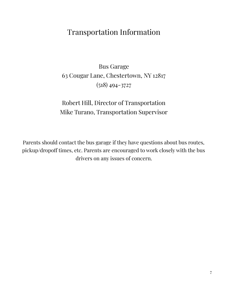### <span id="page-7-0"></span>Transportation Information

### Bus Garage 63 Cougar Lane, Chestertown, NY 12817 (518) 494-3727

### Robert Hill, Director of Transportation Mike Turano, Transportation Supervisor

Parents should contact the bus garage if they have questions about bus routes, pickup/dropoff times, etc. Parents are encouraged to work closely with the bus drivers on any issues of concern.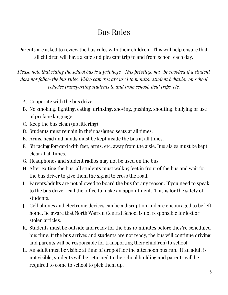### Bus Rules

Parents are asked to review the bus rules with their children. This will help ensure that all children will have a safe and pleasant trip to and from school each day.

*Please note that riding the school bus is a privilege. This privilege may be revoked if a student does not follow the bus rules. Video cameras are used to monitor student behavior on school vehicles transporting students to and from school, field trips, etc.*

- A. Cooperate with the bus driver.
- B. No smoking, fighting, eating, drinking, shoving, pushing, shouting, bullying or use of profane language.
- C. Keep the bus clean (no littering)
- D. Students must remain in their assigned seats at all times.
- E. Arms, head and hands must be kept inside the bus at all times.
- F. Sit facing forward with feet, arms, etc. away from the aisle. Bus aisles must be kept clear at all times.
- G. Headphones and student radios may not be used on the bus.
- H. After exiting the bus, all students must walk 15 feet in front of the bus and wait for the bus driver to give them the signal to cross the road.
- I. Parents/adults are not allowed to board the bus for any reason. If you need to speak to the bus driver, call the office to make an appointment. This is for the safety of students.
- J. Cell phones and electronic devices can be a disruption and are encouraged to be left home. Be aware that North Warren Central School is not responsible for lost or stolen articles.
- K. Students must be outside and ready for the bus 10 minutes before they're scheduled bus time. If the bus arrives and students are not ready, the bus will continue driving and parents will be responsible for transporting their child(ren) to school.
- L. An adult must be visible at time of dropoff for the afternoon bus run. If an adult is not visible, students will be returned to the school building and parents will be required to come to school to pick them up.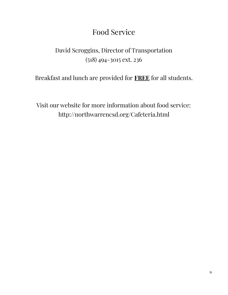### Food Service

### <span id="page-9-0"></span>David Scroggins, Director of Transportation (518) 494-3015 ext. 236

Breakfast and lunch are provided for **FREE** for all students.

Visit our website for more information about food service: http://northwarrencsd.org/Cafeteria.html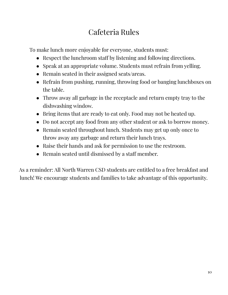# Cafeteria Rules

To make lunch more enjoyable for everyone, students must:

- Respect the lunchroom staff by listening and following directions.
- Speak at an appropriate volume. Students must refrain from yelling.
- Remain seated in their assigned seats/areas.
- Refrain from pushing, running, throwing food or banging lunchboxes on the table.
- Throw away all garbage in the receptacle and return empty tray to the dishwashing window.
- Bring items that are ready to eat only. Food may not be heated up.
- Do not accept any food from any other student or ask to borrow money.
- Remain seated throughout lunch. Students may get up only once to throw away any garbage and return their lunch trays.
- Raise their hands and ask for permission to use the restroom.
- Remain seated until dismissed by a staff member.

As a reminder: All North Warren CSD students are entitled to a free breakfast and lunch! We encourage students and families to take advantage of this opportunity.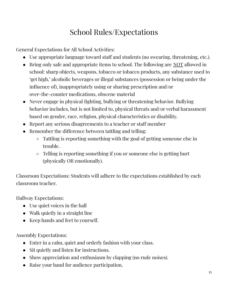# School Rules/Expectations

<span id="page-11-0"></span>General Expectations for All School Activities:

- Use appropriate language toward staff and students (no swearing, threatening, etc.).
- Bring only safe and appropriate items to school. The following are NOT allowed in school: sharp objects, weapons, tobacco or tobacco products, any substance used to 'get high,' alcoholic beverages or illegal substances (possession or being under the influence of), inappropriately using or sharing prescription and/or over-the-counter medications, obscene material
- Never engage in physical fighting, bullying or threatening behavior. Bullying behavior includes, but is not limited to, physical threats and/or verbal harassment based on gender, race, religion, physical characteristics or disability.
- Report any serious disagreements to a teacher or staff member
- Remember the difference between tattling and telling:
	- Tattling is reporting something with the goal of getting someone else in trouble.
	- Telling is reporting something if you or someone else is getting hurt (physically OR emotionally).

Classroom Expectations: Students will adhere to the expectations established by each classroom teacher.

Hallway Expectations:

- Use quiet voices in the hall
- Walk quietly in a straight line
- Keep hands and feet to yourself.

Assembly Expectations:

- Enter in a calm, quiet and orderly fashion with your class.
- Sit quietly and listen for instructions.
- Show appreciation and enthusiasm by clapping (no rude noises).
- Raise your hand for audience participation.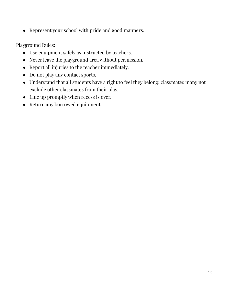● Represent your school with pride and good manners.

Playground Rules:

- Use equipment safely as instructed by teachers.
- Never leave the playground area without permission.
- Report all injuries to the teacher immediately.
- Do not play any contact sports.
- Understand that all students have a right to feel they belong; classmates many not exclude other classmates from their play.
- Line up promptly when recess is over.
- Return any borrowed equipment.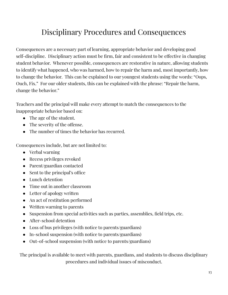# Disciplinary Procedures and Consequences

<span id="page-13-0"></span>Consequences are a necessary part of learning, appropriate behavior and developing good self-discipline. Disciplinary action must be firm, fair and consistent to be effective in changing student behavior. Whenever possible, consequences are restorative in nature, allowing students to identify what happened, who was harmed, how to repair the harm and, most importantly, how to change the behavior. This can be explained to our youngest students using the words: "Oops, Ouch, Fix." For our older students, this can be explained with the phrase: "Repair the harm, change the behavior."

Teachers and the principal will make every attempt to match the consequences to the inappropriate behavior based on:

- The age of the student.
- The severity of the offense.
- The number of times the behavior has recurred.

Consequences include, but are not limited to:

- Verbal warning
- Recess privileges revoked
- Parent/guardian contacted
- Sent to the principal's office
- Lunch detention
- Time out in another classroom
- Letter of apology written
- An act of restitution performed
- Written warning to parents
- Suspension from special activities such as parties, assemblies, field trips, etc.
- After-school detention
- Loss of bus privileges (with notice to parents/guardians)
- In-school suspension (with notice to parents/guardians)
- Out-of-school suspension (with notice to parents/guardians)

The principal is available to meet with parents, guardians, and students to discuss disciplinary procedures and individual issues of misconduct.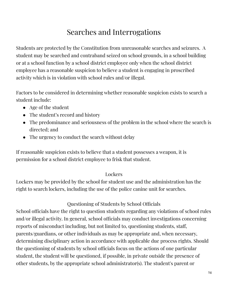# Searches and Interrogations

<span id="page-14-0"></span>Students are protected by the Constitution from unreasonable searches and seizures. A student may be searched and contraband seized on school grounds, in a school building or at a school function by a school district employee only when the school district employee has a reasonable suspicion to believe a student is engaging in proscribed activity which is in violation with school rules and/or illegal.

Factors to be considered in determining whether reasonable suspicion exists to search a student include:

- Age of the student
- The student's record and history
- The predominance and seriousness of the problem in the school where the search is directed; and
- The urgency to conduct the search without delay

If reasonable suspicion exists to believe that a student possesses a weapon, it is permission for a school district employee to frisk that student.

### **Lockers**

Lockers may be provided by the school for student use and the administration has the right to search lockers, including the use of the police canine unit for searches.

### Questioning of Students by School Officials

School officials have the right to question students regarding any violations of school rules and/or illegal activity. In general, school officials may conduct investigations concerning reports of misconduct including, but not limited to, questioning students, staff, parents/guardians, or other individuals as may be appropriate and, when necessary, determining disciplinary action in accordance with applicable due process rights. Should the questioning of students by school officials focus on the actions of one particular student, the student will be questioned, if possible, in private outside the presence of other students, by the appropriate school administrator(s). The student's parent or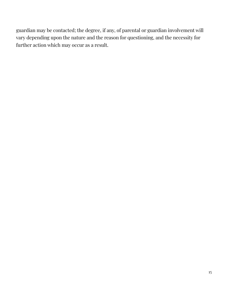guardian may be contacted; the degree, if any, of parental or guardian involvement will vary depending upon the nature and the reason for questioning, and the necessity for further action which may occur as a result.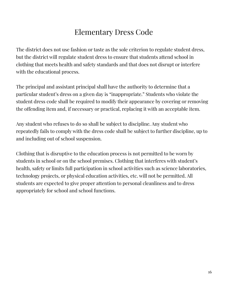# Elementary Dress Code

The district does not use fashion or taste as the sole criterion to regulate student dress, but the district will regulate student dress to ensure that students attend school in clothing that meets health and safety standards and that does not disrupt or interfere with the educational process.

The principal and assistant principal shall have the authority to determine that a particular student's dress on a given day is "inappropriate." Students who violate the student dress code shall be required to modify their appearance by covering or removing the offending item and, if necessary or practical, replacing it with an acceptable item.

Any student who refuses to do so shall be subject to discipline. Any student who repeatedly fails to comply with the dress code shall be subject to further discipline, up to and including out of school suspension.

Clothing that is disruptive to the education process is not permitted to be worn by students in school or on the school premises. Clothing that interferes with student's health, safety or limits full participation in school activities such as science laboratories, technology projects, or physical education activities, etc. will not be permitted. All students are expected to give proper attention to personal cleanliness and to dress appropriately for school and school functions.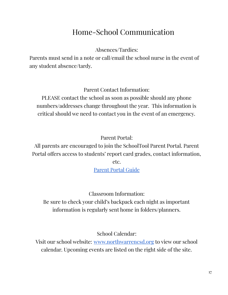### Home-School Communication

Absences/Tardies:

<span id="page-17-0"></span>Parents must send in a note or call/email the school nurse in the event of any student absence/tardy.

Parent Contact Information:

PLEASE contact the school as soon as possible should any phone numbers/addresses change throughout the year. This information is critical should we need to contact you in the event of an emergency.

Parent Portal:

All parents are encouraged to join the SchoolTool Parent Portal. Parent Portal offers access to students' report card grades, contact information, etc.

[Parent](http://northwarrencsd.org/Parents/Docs/ParentPortalGuide.pdf) Portal Guide

Classroom Information: Be sure to check your child's backpack each night as important information is regularly sent home in folders/planners.

School Calendar:

Visit our school website: [www.northwarrencsd.org](http://www.northwarrencsd.org) to view our school calendar. Upcoming events are listed on the right side of the site.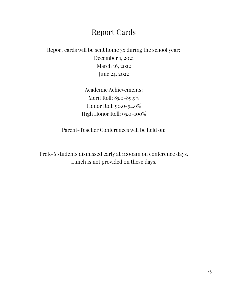### Report Cards

<span id="page-18-0"></span>Report cards will be sent home 3x during the school year: December 1, 2021 March 16, 2022 June 24, 2022

> Academic Achievements: Merit Roll: 85.0-89.9% Honor Roll: 90.0-94.9% High Honor Roll: 95.0-100%

Parent-Teacher Conferences will be held on:

PreK-6 students dismissed early at 11:00am on conference days. Lunch is not provided on these days.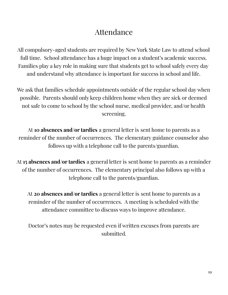### Attendance

<span id="page-19-0"></span>All compulsory-aged students are required by New York State Law to attend school full time. School attendance has a huge impact on a student's academic success. Families play a key role in making sure that students get to school safely every day and understand why attendance is important for success in school and life.

We ask that families schedule appointments outside of the regular school day when possible. Parents should only keep children home when they are sick or deemed not safe to come to school by the school nurse, medical provider, and/or health screening.

At **10 absences and/or tardies** a general letter is sent home to parents as a reminder of the number of occurrences. The elementary guidance counselor also follows up with a telephone call to the parents/guardian.

At **15 absences and/or tardies** a general letter is sent home to parents as a reminder of the number of occurrences. The elementary principal also follows up with a telephone call to the parents/guardian.

At **20 absences and/or tardies** a general letter is sent home to parents as a reminder of the number of occurrences. A meeting is scheduled with the attendance committee to discuss ways to improve attendance.

Doctor's notes may be requested even if written excuses from parents are submitted.